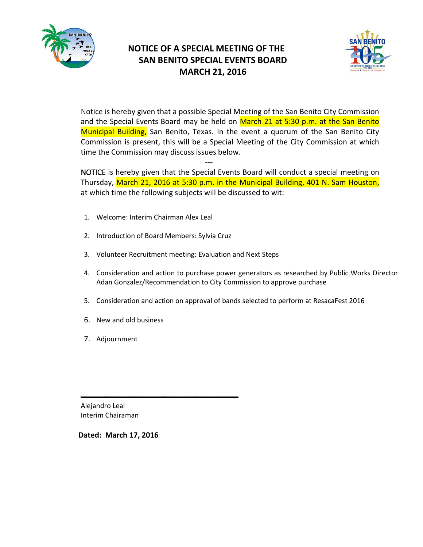

# **NOTICE OF A SPECIAL MEETING OF THE SAN BENITO SPECIAL EVENTS BOARD MARCH 21, 2016**



Notice is hereby given that a possible Special Meeting of the San Benito City Commission and the Special Events Board may be held on March 21 at 5:30 p.m. at the San Benito Municipal Building, San Benito, Texas. In the event a quorum of the San Benito City Commission is present, this will be a Special Meeting of the City Commission at which time the Commission may discuss issues below.

NOTICE is hereby given that the Special Events Board will conduct a special meeting on Thursday, March 21, 2016 at 5:30 p.m. in the Municipal Building, 401 N. Sam Houston, at which time the following subjects will be discussed to wit:

1. Welcome: Interim Chairman Alex Leal

---

2. Introduction of Board Members: Sylvia Cruz

*\_\_\_\_\_\_\_\_\_\_\_\_\_\_\_\_\_\_\_*

- 3. Volunteer Recruitment meeting: Evaluation and Next Steps
- 4. Consideration and action to purchase power generators as researched by Public Works Director Adan Gonzalez/Recommendation to City Commission to approve purchase
- 5. Consideration and action on approval of bands selected to perform at ResacaFest 2016
- 6. New and old business
- 7. Adjournment

Alejandro Leal Interim Chairaman

**Dated: March 17, 2016**